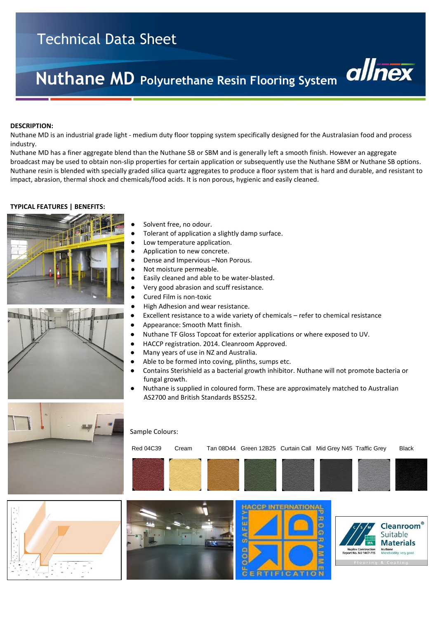# Technical Data Sheet

# **Nuthane MD Polyurethane Resin Flooring System**

#### **DESCRIPTION:**

Nuthane MD is an industrial grade light - medium duty floor topping system specifically designed for the Australasian food and process industry.

Nuthane MD has a finer aggregate blend than the Nuthane SB or SBM and is generally left a smooth finish. However an aggregate broadcast may be used to obtain non-slip properties for certain application or subsequently use the Nuthane SBM or Nuthane SB options. Nuthane resin is blended with specially graded silica quartz aggregates to produce a floor system that is hard and durable, and resistant to impact, abrasion, thermal shock and chemicals/food acids. It is non porous, hygienic and easily cleaned.

#### **TYPICAL FEATURES | BENEFITS:**





- Solvent free, no odour.
- Tolerant of application a slightly damp surface.
- Low temperature application.
- Application to new concrete.
- Dense and Impervious -Non Porous.
- Not moisture permeable.
- Easily cleaned and able to be water-blasted.
- Very good abrasion and scuff resistance.
- Cured Film is non-toxic
- **●** High Adhesion and wear resistance.
- Excellent resistance to a wide variety of chemicals refer to chemical resistance
- Appearance: Smooth Matt finish.
- Nuthane TF Gloss Topcoat for exterior applications or where exposed to UV.
- HACCP registration. 2014. Cleanroom Approved.
- Many years of use in NZ and Australia.
- Able to be formed into coving, plinths, sumps etc.
- Contains Sterishield as a bacterial growth inhibitor. Nuthane will not promote bacteria or fungal growth.
- Nuthane is supplied in coloured form. These are approximately matched to Australian AS2700 and British Standards BS5252.









Red 04C39 Cream Tan 08D44 Green 12B25 Curtain Call Mid Grey N45 Traffic Grey Black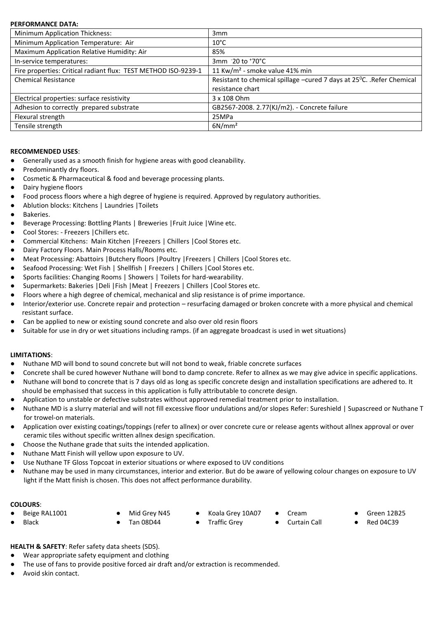# **PERFORMANCE DATA:**

| Minimum Application Thickness:                                 | 3 <sub>mm</sub>                                                        |
|----------------------------------------------------------------|------------------------------------------------------------------------|
| Minimum Application Temperature: Air                           | $10^{\circ}$ C                                                         |
| Maximum Application Relative Humidity: Air                     | 85%                                                                    |
| In-service temperatures:                                       | $3mm$ -20 to $*70^{\circ}$ C                                           |
| Fire properties: Critical radiant flux: TEST METHOD ISO-9239-1 | 11 Kw/m <sup>2</sup> - smoke value 41% min                             |
| <b>Chemical Resistance</b>                                     | Resistant to chemical spillage -cured 7 days at 25°C. . Refer Chemical |
|                                                                | resistance chart                                                       |
| Electrical properties: surface resistivity                     | 3 x 108 Ohm                                                            |
| Adhesion to correctly prepared substrate                       | GB2567-2008. 2.77(KJ/m2). - Concrete failure                           |
| Flexural strength                                              | 25MPa                                                                  |
| Tensile strength                                               | 6N/mm <sup>2</sup>                                                     |
|                                                                |                                                                        |

#### **RECOMMENDED USES**:

- Generally used as a smooth finish for hygiene areas with good cleanability.
- Predominantly dry floors.
- Cosmetic & Pharmaceutical & food and beverage processing plants.
- Dairy hygiene floors
- Food process floors where a high degree of hygiene is required. Approved by regulatory authorities.
- Ablution blocks: Kitchens | Laundries | Toilets
- Bakeries.
- Beverage Processing: Bottling Plants | Breweries | Fruit Juice | Wine etc.
- Cool Stores: Freezers |Chillers etc.
- Commercial Kitchens: Main Kitchen | Freezers | Chillers | Cool Stores etc.
- Dairy Factory Floors. Main Process Halls/Rooms etc*.*
- Meat Processing: Abattoirs |Butchery floors |Poultry |Freezers | Chillers |Cool Stores etc.
- Seafood Processing: Wet Fish | Shellfish | Freezers | Chillers | Cool Stores etc.
- Sports facilities: Changing Rooms | Showers | Toilets for hard-wearability.
- Supermarkets: Bakeries |Deli |Fish |Meat | Freezers | Chillers |Cool Stores etc.
- Floors where a high degree of chemical, mechanical and slip resistance is of prime importance.
- Interior/exterior use. Concrete repair and protection resurfacing damaged or broken concrete with a more physical and chemical resistant surface.
- Can be applied to new or existing sound concrete and also over old resin floors
- Suitable for use in dry or wet situations including ramps. (if an aggregate broadcast is used in wet situations)

# **LIMITATIONS**:

- Nuthane MD will bond to sound concrete but will not bond to weak, friable concrete surfaces
- Concrete shall be cured however Nuthane will bond to damp concrete. Refer to allnex as we may give advice in specific applications.
- Nuthane will bond to concrete that is 7 days old as long as specific concrete design and installation specifications are adhered to. It should be emphasised that success in this application is fully attributable to concrete design.
- Application to unstable or defective substrates without approved remedial treatment prior to installation.
- Nuthane MD is a slurry material and will not fill excessive floor undulations and/or slopes Refer: Sureshield | Supascreed or Nuthane T for trowel-on materials.
- Application over existing coatings/toppings (refer to allnex) or over concrete cure or release agents without allnex approval or over ceramic tiles without specific written allnex design specification.
- Choose the Nuthane grade that suits the intended application.
- Nuthane Matt Finish will yellow upon exposure to UV.
- Use Nuthane TF Gloss Topcoat in exterior situations or where exposed to UV conditions
- Nuthane may be used in many circumstances, interior and exterior. But do be aware of yellowing colour changes on exposure to UV light if the Matt finish is chosen. This does not affect performance durability.

# **COLOURS**:

- 
- 
- 

- 
- 
- -
- Beige RAL1001 Mid Grey N45 Koala Grey 10A07 Cream Green 12B25
- Black Tan 08D44 Traffic Grey Curtain Call Red 04C39
- **HEALTH & SAFETY**: Refer safety data sheets (SDS).
- Wear appropriate safety equipment and clothing
- The use of fans to provide positive forced air draft and/or extraction is recommended.
- Avoid skin contact.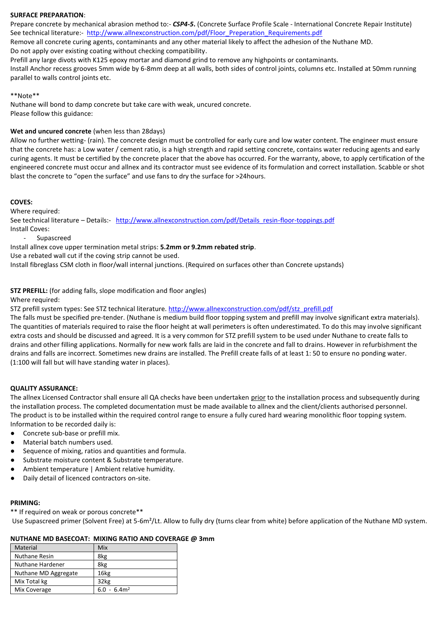# **SURFACE PREPARATION**:

Prepare concrete by mechanical abrasion method to:- *CSP4-5***.** (Concrete Surface Profile Scale - International Concrete Repair Institute) See technical literature:- [http://www.allnexconstruction.com/pdf/Floor\\_Preperation\\_Requirements.pdf](http://www.allnexconstruction.com/pdf/Floor_Preperation_Requirements.pdf)

Remove all concrete curing agents, contaminants and any other material likely to affect the adhesion of the Nuthane MD.

Do not apply over existing coating without checking compatibility.

Prefill any large divots with K125 epoxy mortar and diamond grind to remove any highpoints or contaminants.

Install Anchor recess grooves 5mm wide by 6-8mm deep at all walls, both sides of control joints, columns etc. Installed at 50mm running parallel to walls control joints etc.

#### \*\*Note\*\*

Nuthane will bond to damp concrete but take care with weak, uncured concrete. Please follow this guidance:

# **Wet and uncured concrete** (when less than 28days)

Allow no further wetting- (rain). The concrete design must be controlled for early cure and low water content. The engineer must ensure that the concrete has: a Low water / cement ratio, is a high strength and rapid setting concrete, contains water reducing agents and early curing agents. It must be certified by the concrete placer that the above has occurred. For the warranty, above, to apply certification of the engineered concrete must occur and allnex and its contractor must see evidence of its formulation and correct installation. Scabble or shot blast the concrete to "open the surface" and use fans to dry the surface for >24hours.

# **COVES:**

Where required:

See technical literature – Details:- [http://www.allnexconstruction.com/pdf/Details\\_resin-floor-toppings.pdf](http://www.allnexconstruction.com/pdf/Details_resin-floor-toppings.pdf) Install Coves:

- Supascreed

Install allnex cove upper termination metal strips: **5.2mm or 9.2mm rebated strip**.

Use a rebated wall cut if the coving strip cannot be used.

Install fibreglass CSM cloth in floor/wall internal junctions. (Required on surfaces other than Concrete upstands)

**STZ PREFILL:** (for adding falls, slope modification and floor angles)

Where required:

STZ prefill system types: See STZ technical literature[. http://www.allnexconstruction.com/pdf/stz\\_prefill.pdf](http://www.allnexconstruction.com/pdf/stz_prefill.pdf)

The falls must be specified pre-tender. (Nuthane is medium build floor topping system and prefill may involve significant extra materials). The quantities of materials required to raise the floor height at wall perimeters is often underestimated. To do this may involve significant extra costs and should be discussed and agreed. It is a very common for STZ prefill system to be used under Nuthane to create falls to drains and other filling applications. Normally for new work falls are laid in the concrete and fall to drains. However in refurbishment the drains and falls are incorrect. Sometimes new drains are installed. The Prefill create falls of at least 1: 50 to ensure no ponding water. (1:100 will fall but will have standing water in places).

# **QUALITY ASSURANCE:**

The allnex Licensed Contractor shall ensure all QA checks have been undertaken prior to the installation process and subsequently during the installation process. The completed documentation must be made available to allnex and the client/clients authorised personnel. The product is to be installed within the required control range to ensure a fully cured hard wearing monolithic floor topping system. Information to be recorded daily is:

- Concrete sub-base or prefill mix.
- Material batch numbers used.
- Sequence of mixing, ratios and quantities and formula.
- Substrate moisture content & Substrate temperature.
- Ambient temperature | Ambient relative humidity.
- Daily detail of licenced contractors on-site.

# **PRIMING:**

\*\* If required on weak or porous concrete\*\*

Use Supascreed primer (Solvent Free) at 5-6m²/Lt. Allow to fully dry (turns clear from white) before application of the Nuthane MD system.

# **NUTHANE MD BASECOAT: MIXING RATIO AND COVERAGE @ 3mm**

| Material             | Mix              |
|----------------------|------------------|
| Nuthane Resin        | 8kg              |
| Nuthane Hardener     | 8kg              |
| Nuthane MD Aggregate | 16 <sub>kg</sub> |
| Mix Total kg         | 32kg             |
| Mix Coverage         | $6.0 - 6.4m^2$   |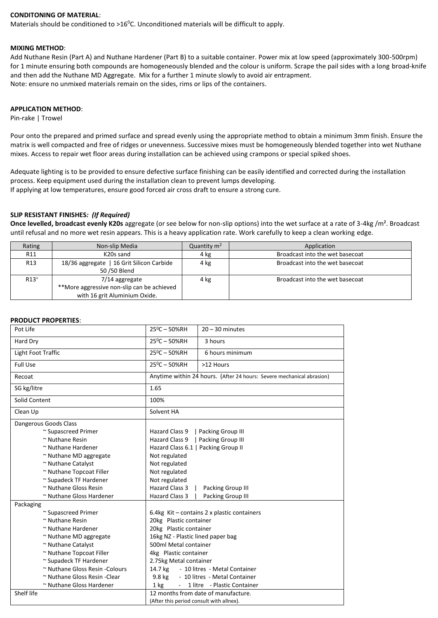# **CONDITONING OF MATERIAL**:

Materials should be conditioned to >16<sup>0</sup>C. Unconditioned materials will be difficult to apply.

#### **MIXING METHOD**:

Add Nuthane Resin (Part A) and Nuthane Hardener (Part B) to a suitable container. Power mix at low speed (approximately 300-500rpm) for 1 minute ensuring both compounds are homogeneously blended and the colour is uniform. Scrape the pail sides with a long broad-knife and then add the Nuthane MD Aggregate. Mix for a further 1 minute slowly to avoid air entrapment. Note: ensure no unmixed materials remain on the sides, rims or lips of the containers.

## **APPLICATION METHOD**:

Pin-rake | Trowel

Pour onto the prepared and primed surface and spread evenly using the appropriate method to obtain a minimum 3mm finish. Ensure the matrix is well compacted and free of ridges or unevenness. Successive mixes must be homogeneously blended together into wet Nuthane mixes. Access to repair wet floor areas during installation can be achieved using crampons or special spiked shoes.

Adequate lighting is to be provided to ensure defective surface finishing can be easily identified and corrected during the installation process. Keep equipment used during the installation clean to prevent lumps developing. If applying at low temperatures, ensure good forced air cross draft to ensure a strong cure.

#### **SLIP RESISTANT FINISHES***: (If Required)*

**Once levelled, broadcast evenly K20s** aggregate (or see below for non-slip options) into the wet surface at a rate of 3-4kg /m². Broadcast until refusal and no more wet resin appears. This is a heavy application rate. Work carefully to keep a clean working edge.

| Rating          | Non-slip Media                             | Quantity $m2$ | Application                     |
|-----------------|--------------------------------------------|---------------|---------------------------------|
| R <sub>11</sub> | K20s sand                                  | 4 kg          | Broadcast into the wet basecoat |
| R <sub>13</sub> | 18/36 aggregate   16 Grit Silicon Carbide  | 4 kg          | Broadcast into the wet basecoat |
|                 | 50 / 50 Blend                              |               |                                 |
| $R13+$          | 7/14 aggregate                             | 4 kg          | Broadcast into the wet basecoat |
|                 | **More aggressive non-slip can be achieved |               |                                 |
|                 | with 16 grit Aluminium Oxide.              |               |                                 |

#### **PRODUCT PROPERTIES**:

| Pot Life                       | $25^{\circ}$ C - 50%RH                     | $20 - 30$ minutes                                                     |  |
|--------------------------------|--------------------------------------------|-----------------------------------------------------------------------|--|
| Hard Dry                       | $25^{\circ}$ C - 50%RH                     | 3 hours                                                               |  |
| Light Foot Traffic             | $25^{\circ}$ C - 50%RH<br>6 hours minimum  |                                                                       |  |
| <b>Full Use</b>                | $25^0C - 50%RH$                            | >12 Hours                                                             |  |
| Recoat                         |                                            | Anytime within 24 hours. (After 24 hours: Severe mechanical abrasion) |  |
| SG kg/litre                    | 1.65                                       |                                                                       |  |
| Solid Content                  | 100%                                       |                                                                       |  |
| Clean Up                       | Solvent HA                                 |                                                                       |  |
| Dangerous Goods Class          |                                            |                                                                       |  |
| ~ Supascreed Primer            | Hazard Class 9                             | Packing Group III                                                     |  |
| $~\sim$ Nuthane Resin          | Hazard Class 9                             | Packing Group III                                                     |  |
| ~ Nuthane Hardener             | Hazard Class 6.1   Packing Group II        |                                                                       |  |
| ~ Nuthane MD aggregate         | Not regulated                              |                                                                       |  |
| ~ Nuthane Catalyst             | Not regulated                              |                                                                       |  |
| ~ Nuthane Topcoat Filler       | Not regulated                              |                                                                       |  |
| ~ Supadeck TF Hardener         | Not regulated                              |                                                                       |  |
| ~ Nuthane Gloss Resin          | <b>Hazard Class 3</b><br>Packing Group III |                                                                       |  |
| ~ Nuthane Gloss Hardener       | Hazard Class 3<br>Packing Group III        |                                                                       |  |
| Packaging                      |                                            |                                                                       |  |
| ~ Supascreed Primer            |                                            | 6.4 $kg$ Kit – contains 2 x plastic containers                        |  |
| $~\sim$ Nuthane Resin          | 20kg Plastic container                     |                                                                       |  |
| ~ Nuthane Hardener             | 20kg Plastic container                     |                                                                       |  |
| ~ Nuthane MD aggregate         | 16kg NZ - Plastic lined paper bag          |                                                                       |  |
| ~ Nuthane Catalyst             | 500ml Metal container                      |                                                                       |  |
| ~ Nuthane Topcoat Filler       | 4kg Plastic container                      |                                                                       |  |
| ~ Supadeck TF Hardener         | 2.75kg Metal container                     |                                                                       |  |
| ~ Nuthane Gloss Resin -Colours | - 10 litres - Metal Container<br>14.7 kg   |                                                                       |  |
| ~ Nuthane Gloss Resin - Clear  | - 10 litres - Metal Container<br>9.8 kg    |                                                                       |  |
| ~ Nuthane Gloss Hardener       | $1$ kg                                     | - 1 litre - Plastic Container                                         |  |
| Shelf life                     |                                            | 12 months from date of manufacture.                                   |  |
|                                | (After this period consult with allnex).   |                                                                       |  |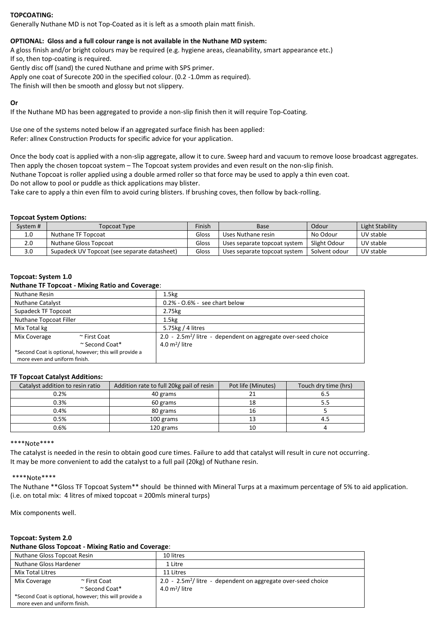# **TOPCOATING:**

Generally Nuthane MD is not Top-Coated as it is left as a smooth plain matt finish.

# **OPTIONAL: Gloss and a full colour range is not available in the Nuthane MD system:**

A gloss finish and/or bright colours may be required (e.g. hygiene areas, cleanability, smart appearance etc.) If so, then top-coating is required.

Gently disc off (sand) the cured Nuthane and prime with SPS primer.

Apply one coat of Surecote 200 in the specified colour. (0.2 -1.0mm as required).

The finish will then be smooth and glossy but not slippery.

# **Or**

If the Nuthane MD has been aggregated to provide a non-slip finish then it will require Top-Coating.

Use one of the systems noted below if an aggregated surface finish has been applied: Refer: allnex Construction Products for specific advice for your application.

Once the body coat is applied with a non-slip aggregate, allow it to cure. Sweep hard and vacuum to remove loose broadcast aggregates. Then apply the chosen topcoat system – The Topcoat system provides and even result on the non-slip finish.

Nuthane Topcoat is roller applied using a double armed roller so that force may be used to apply a thin even coat.

Do not allow to pool or puddle as thick applications may blister.

Take care to apply a thin even film to avoid curing blisters. If brushing coves, then follow by back-rolling.

#### **Topcoat System Options:**

| Svstem # | Topcoat Type                                 | Finish | Base                         | Odour         | Light Stability |
|----------|----------------------------------------------|--------|------------------------------|---------------|-----------------|
| 1.0      | Nuthane TF Topcoat                           | Gloss  | Uses Nuthane resin           | No Odour      | UV stable       |
| 2.0      | Nuthane Gloss Topcoat                        | Gloss  | Uses separate topcoat system | Slight Odour  | UV stable       |
| 3.0      | Supadeck UV Topcoat (see separate datasheet) | Gloss  | Uses separate topcoat system | Solvent odour | UV stable       |

#### **Topcoat: System 1.0**

#### **Nuthane TF Topcoat - Mixing Ratio and Coverage**:

| Nuthane Resin                 |                                                        | 1.5 <sub>kg</sub>                                                         |
|-------------------------------|--------------------------------------------------------|---------------------------------------------------------------------------|
| <b>Nuthane Catalyst</b>       |                                                        | $0.2\%$ - $0.6\%$ - see chart below                                       |
| Supadeck TF Topcoat           |                                                        | 2.75kg                                                                    |
| Nuthane Topcoat Filler        |                                                        | 1.5 <sub>kg</sub>                                                         |
| Mix Total kg                  |                                                        | 5.75kg / 4 litres                                                         |
| Mix Coverage                  | ~ First Coat                                           | 2.0 - 2.5m <sup>2</sup> / litre - dependent on aggregate over-seed choice |
|                               | $\sim$ Second Coat*                                    | $4.0 \text{ m}^2$ / litre                                                 |
| more even and uniform finish. | *Second Coat is optional, however; this will provide a |                                                                           |

#### **TF Topcoat Catalyst Additions:**

| Catalyst addition to resin ratio | Addition rate to full 20kg pail of resin | Pot life (Minutes) | Touch dry time (hrs) |
|----------------------------------|------------------------------------------|--------------------|----------------------|
| 0.2%                             | 40 grams                                 |                    | 6.5                  |
| 0.3%                             | 60 grams                                 |                    | 5.5                  |
| 0.4%                             | 80 grams                                 |                    |                      |
| 0.5%                             | 100 grams                                |                    | 4.5                  |
| 0.6%                             | 120 grams                                |                    |                      |

#### \*\*\*\*Note\*\*\*\*

The catalyst is needed in the resin to obtain good cure times. Failure to add that catalyst will result in cure not occurring. It may be more convenient to add the catalyst to a full pail (20kg) of Nuthane resin.

# \*\*\*\*Note\*\*\*\*

The Nuthane \*\*Gloss TF Topcoat System\*\* should be thinned with Mineral Turps at a maximum percentage of 5% to aid application. (i.e. on total mix: 4 litres of mixed topcoat = 200mls mineral turps)

Mix components well.

# **Topcoat: System 2.0**

# **Nuthane Gloss Topcoat - Mixing Ratio and Coverage**:

| Nuthane Gloss Topcoat Resin   |                                                        | 10 litres                                                      |
|-------------------------------|--------------------------------------------------------|----------------------------------------------------------------|
| Nuthane Gloss Hardener        |                                                        | 1 Litre                                                        |
| <b>Mix Total Litres</b>       |                                                        | 11 Litres                                                      |
| Mix Coverage                  | ~ First Coat                                           | 2.0 - $2.5m2/$ litre - dependent on aggregate over-seed choice |
|                               | $\sim$ Second Coat*                                    | $4.0 \text{ m}^2$ / litre                                      |
|                               | *Second Coat is optional, however; this will provide a |                                                                |
| more even and uniform finish. |                                                        |                                                                |